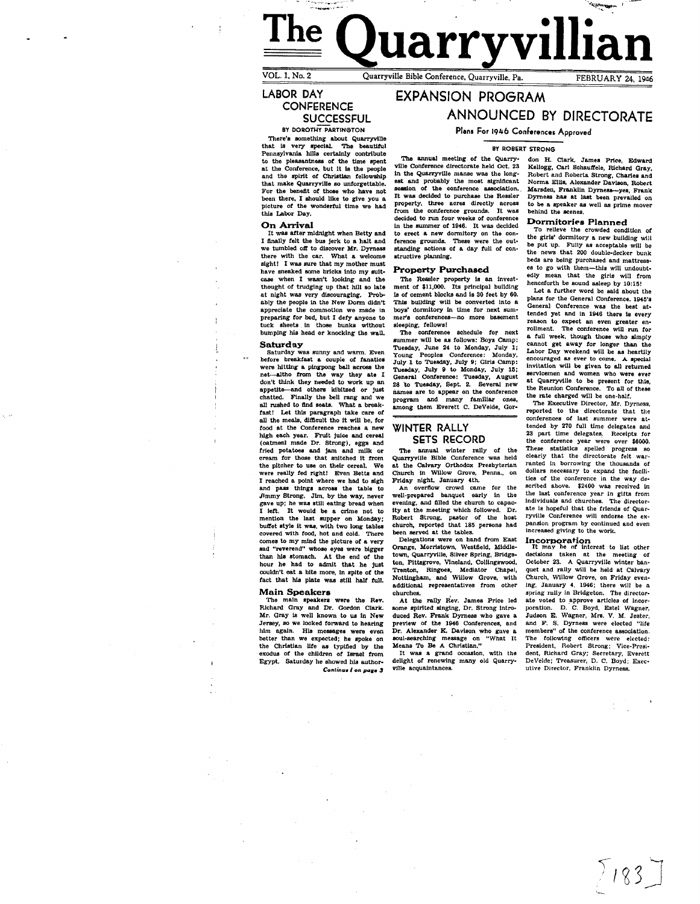# ستعربي من من المناسب.<br>المن المناسبة ."--,,,""" **Uarryy** VOL.l,No.2 Quarryville Bible Conference, Quarryville, Pa. FEBRUAR Y 24, 1946

LABOR DAY **CONFERENCE** 

SUCCESSFUL<br>BY DOROTHY PARTINGTON

There's something about Quarryville<br>that is very special. The beautiful<br>Pennsylvania hills certainly contribute<br>to the pleasantness of the time spent<br>at the Conference, but it is the pople<br>and the spirit of Christian fello that make Quarryville 80 unforgettable. For the benetlt *ot* those who have not been there, I should like to give you a picture of the wonderful time we had this Labor Day.

On Arrival<br>It was after midnight when Betty and I finally felt the bus jerk to a halt and we tumbled off to discover Mr. Dyrness there with the car. What a welcome sight! I was sure that my mother must have sneaked some bricks into my suitcase when I wasn't looking and the thought of trudging up that hill so late at night was very discouraging. Prob-ably the people In the New Donn didn't appreciate the commotion we made in<br>preparing for bed, but I defy anyone to<br>tuck sheets in those bunks without buck sheets in those bunks without<br>bumping his head or knocking the wall.

### Saturday

Saturday was sunny and warm. Even<br>before breakfast a couple of fanatics were hitting a pingpong ball across the net-altho from the way they ate I don't think they needed to work up an appetite--and others kibitzed or just chatted. Finally the bell rang and we chatted. Finally the bell rang and fast! Let this paragraph take care of all the meals, difficult tho it will be, for food at the Conference reaches a new high each year. Fruit juice and cereal (oatmeal made Dr. Strong), eggs and<br>fried potatoes and jam and milk or for those that snitched it from the pitcher to use on their cereal. We were really fed right! Even Betta and I reached a point where we had to sigh and pass things across the table to and pass things across the table to Jimmy Strong. Jim. by the way, never gave up; he was still eating bread when I left. It would be a crime not to mention the last supper on Monday; buffet style it was, with two long tables covered with food, hot and cold. There comes to my mind the picture of a very sad "reverend" whose eyes were bigger than his stomach. At the end of the hour he had to admit that he just couldn't eat a bIte more, In spite *at* the fact that his plate was still half full.

Main Speakers The maln speakers were the Rev. Richard Gray and Dr. Gordon Clark. Mr. Gray is well known to us In New Jersey, so we looked forward to hearing<br>him again. His messages were even better than we expected; he spoke on the Christian life as typified by the exodus of the children of Israel from Egypt. Saturday he showed his author-Continue I on page 3

# EXPANSION PROGRAM ANNOUNCED BY DIRECTORATE

Plans For 1946 Conferences Approved

BY ROBERT STRONG

The annual meeting of the Quarry-<br>ville Conference directorate held Oct. 23 in the Quarryville manse was the longest and probably the most significant seaaion of the conference &B8oci&tion. It was decided to purchase the Ressler property, three acres directly across from the conference grounds. It was decided to run four weeks of conference in the summer *ot* 1946. It was decided to erect a new dormitory on the conference grounds. These were the out-<br>standing actions of a day full of constructive planning.

**Property Purchased**<br>The Ressler property is an invest-<br>ment of \$11,000. Its principal building is of cement blocks and is 30 feet by 60.<br>This building will be converted into a boys' dormitory in time for next summer'a conferences-no more baaement sleeping. tellows!

The conference schedule *tor* next summer will be as fonows: Boys Camp: Tuesday, June 24 to Monday, July 1: Young Peoples Conference: Monday, Young Peoples Conference: Monday, July 1 to Tuesday, July 9; Girls Camp: Tuesday, July 9 to Monday, July 15; General Conference: Tuesday, August 28 to Tuesday, Sept. 2. Several new names are to appear on the conference<br>program and many familiar ones,<br>among them Everett C. DeVelde, Gor-

### WINTER RALLY **SETS RECORD**

The annual winter rally *ot* the Quarryville Bible Conference was held at the Calvary Orthodox Presbyterian Church in Willow Grove, Penna., on<br>Friday night, January 4th.

An overflow crowd came for the well-prepared banquet early in the evening, and filled the church to capacity at the meeting which followed. Dr. Robert Strong, pastor of the host church, reported that 185 persons had been served at the tables.

Delegations were on hand from East<br>Orange, Morristown. Westfield, Middletown, Quarryville, Silver Spring, Bridge-<br>ton, Pittsgrove, Vineland, Collingswood,<br>Trenton, Ringoes, Mediator Chapel,<br>Nottingham, and Willow Grove, with<br>additional representatives from other churches.

At the rally Rev. James Price led some spirited singing, Dr. Strong intro-<br>duced Rev. Frank Dyrness who gave a preview of the 1946 Conferences, and Dr. Alexander K. Davison who gave a soul-searching message on "What It Means To Be A Christian."

It was a grand occasion, with the delight of renewing many old Quarryville acquaintances

don H. Clark, James Price, Edward Kellogg, Carl Schauttele, Richard Gray, Robert and Roberta Strong, Charles and Norma ElUs, Alexander Davlaon, Robert Marsden, Franklin Dyrness--yes, Frank<br>Dyrness has at last been prevailed on to be a speaker as well as prime mover behind the scenes.

## Dormitories Planned<br>To relieve the crowded condition of

the girls' dormitory a new building will be put up. Fully as acceptable wUJ be the news that 200 double-decker bunk beds are being purchased and mattresses to go with them-this will undoubt-edly mean that the girls will from henceforth be sound asleep by 10:15!

Let a further word be said about the plans for the General Conference. 1945's General Conference was the best attended yet and In 1946 there is every reason to expect an even greater en-<br>rollment. The conference will run for rollment. The conference will run for contract the and week, though those who simply cannot get away for longer than the anotally be as heartily encoderated will be as heartily invitation will be given to all returned serv the Reunion Conference. To all of these<br>the rate charged will be one-half.

The Executive Director, Mr. Dyrness, reported to the directorate that the conferences of last summer were at-<br>tended by 270 full time delegates and<br>23 part time delegates. Receipts for the conference year were over \$6000. These statistics spelled progress so clearly that the directorate felt warranted in borrowing the thousands of dollars necessary to expand the facilities of the conference in the way de-scribed above. \$2400 was received in the last conference year in gifts from Individuals and chUrches. The directorate is hopeful that the friends of Quar-ryville Conference will endorse the ex. pansion program by continued and even<br>increased giving to the work.

Incorporation It may be of interest to list other decisions taken at the meeting of October 23. A Quarryville winter banquet and rally will be held at Calvary Church, Willow Grove, on Friday even-ing. January 4, 1946; there will be a. spring rally in Bridgeton. The director-<br>ate voted to approve articles of incor-<br>poration. D. C. Boyd, Estel Wagner,<br>Judson E. Wagner, Mrs. V. M. Jester, and F. S. Dyrness were elected "life members" of the conference association. The following officers were elected: President, Robert Strong; Vice-Presi. dent, Richard Cray; Secretary, Everett DeVelde; Treasurer, D. C. Boyd; Exec. utive Director, Franklin Dyrness.

 $7183$